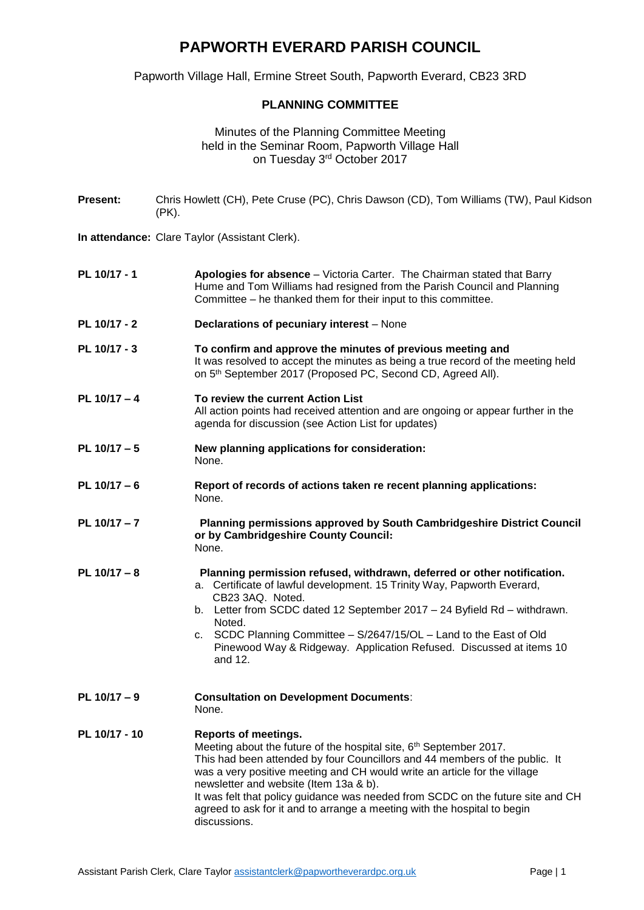## **PAPWORTH EVERARD PARISH COUNCIL**

Papworth Village Hall, Ermine Street South, Papworth Everard, CB23 3RD

## **PLANNING COMMITTEE**

## Minutes of the Planning Committee Meeting held in the Seminar Room, Papworth Village Hall on Tuesday 3rd October 2017

**Present:** Chris Howlett (CH), Pete Cruse (PC), Chris Dawson (CD), Tom Williams (TW), Paul Kidson (PK).

**In attendance:** Clare Taylor (Assistant Clerk).

- **PL 10/17 - 1 Apologies for absence** Victoria Carter. The Chairman stated that Barry Hume and Tom Williams had resigned from the Parish Council and Planning Committee – he thanked them for their input to this committee.
- **PL 10/17 - 2 Declarations of pecuniary interest** None
- **PL 10/17 - 3 To confirm and approve the minutes of previous meeting and**  It was resolved to accept the minutes as being a true record of the meeting held on 5<sup>th</sup> September 2017 (Proposed PC, Second CD, Agreed All).
- **PL 10/17 – 4 To review the current Action List** All action points had received attention and are ongoing or appear further in the agenda for discussion (see Action List for updates)
- **PL 10/17 – 5 New planning applications for consideration:** None.
- **PL 10/17 – 6 Report of records of actions taken re recent planning applications:** None.
- **PL 10/17 – 7 Planning permissions approved by South Cambridgeshire District Council or by Cambridgeshire County Council:** None.
- **PL 10/17 – 8 Planning permission refused, withdrawn, deferred or other notification.** a. Certificate of lawful development. 15 Trinity Way, Papworth Everard, CB23 3AQ. Noted.
	- b. Letter from SCDC dated 12 September 2017 24 Byfield Rd withdrawn. Noted.
	- c. SCDC Planning Committee S/2647/15/OL Land to the East of Old Pinewood Way & Ridgeway. Application Refused. Discussed at items 10 and 12.
- **PL 10/17 – 9 Consultation on Development Documents**:

None.

## **PL 10/17 - 10 Reports of meetings.** Meeting about the future of the hospital site, 6<sup>th</sup> September 2017. This had been attended by four Councillors and 44 members of the public. It was a very positive meeting and CH would write an article for the village newsletter and website (Item 13a & b). It was felt that policy guidance was needed from SCDC on the future site and CH agreed to ask for it and to arrange a meeting with the hospital to begin discussions.